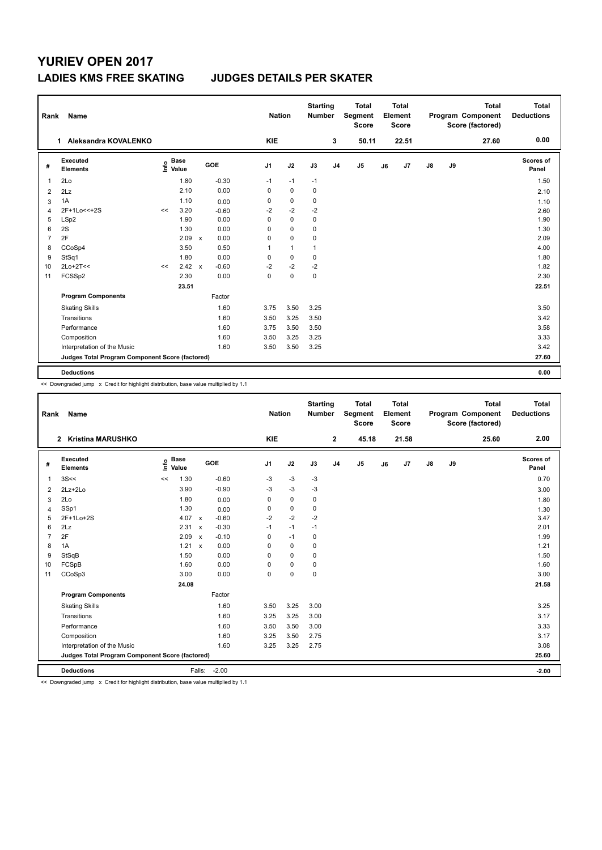## **YURIEV OPEN 2017**

## **LADIES KMS FREE SKATING JUDGES DETAILS PER SKATER**

| Name<br>Rank   |                                                 |      |                      |              |         |                | <b>Nation</b> |             | <b>Starting</b><br><b>Number</b> | <b>Total</b><br>Segment<br><b>Score</b> | Total<br>Element<br><b>Score</b> |       | Program Component |    | <b>Total</b><br>Score (factored) | <b>Total</b><br><b>Deductions</b> |
|----------------|-------------------------------------------------|------|----------------------|--------------|---------|----------------|---------------|-------------|----------------------------------|-----------------------------------------|----------------------------------|-------|-------------------|----|----------------------------------|-----------------------------------|
|                | 1 Aleksandra KOVALENKO                          |      |                      |              |         | <b>KIE</b>     |               |             | 3                                | 50.11                                   |                                  | 22.51 |                   |    | 27.60                            | 0.00                              |
| #              | Executed<br><b>Elements</b>                     | ١nf٥ | <b>Base</b><br>Value |              | GOE     | J <sub>1</sub> | J2            | J3          | J <sub>4</sub>                   | J <sub>5</sub>                          | J6                               | J7    | $\mathsf{J}8$     | J9 |                                  | Scores of<br>Panel                |
| 1              | 2Lo                                             |      | 1.80                 |              | $-0.30$ | $-1$           | $-1$          | $-1$        |                                  |                                         |                                  |       |                   |    |                                  | 1.50                              |
| $\overline{2}$ | 2Lz                                             |      | 2.10                 |              | 0.00    | 0              | $\mathbf 0$   | 0           |                                  |                                         |                                  |       |                   |    |                                  | 2.10                              |
| 3              | 1A                                              |      | 1.10                 |              | 0.00    | 0              | 0             | 0           |                                  |                                         |                                  |       |                   |    |                                  | 1.10                              |
| $\overline{4}$ | 2F+1Lo<<+2S                                     | <<   | 3.20                 |              | $-0.60$ | $-2$           | $-2$          | $-2$        |                                  |                                         |                                  |       |                   |    |                                  | 2.60                              |
| 5              | LSp2                                            |      | 1.90                 |              | 0.00    | $\Omega$       | $\mathbf 0$   | 0           |                                  |                                         |                                  |       |                   |    |                                  | 1.90                              |
| 6              | 2S                                              |      | 1.30                 |              | 0.00    | $\Omega$       | $\mathbf 0$   | 0           |                                  |                                         |                                  |       |                   |    |                                  | 1.30                              |
| $\overline{7}$ | 2F                                              |      | 2.09                 | $\mathsf{x}$ | 0.00    | 0              | $\mathbf 0$   | 0           |                                  |                                         |                                  |       |                   |    |                                  | 2.09                              |
| 8              | CCoSp4                                          |      | 3.50                 |              | 0.50    | 1              | $\mathbf{1}$  | 1           |                                  |                                         |                                  |       |                   |    |                                  | 4.00                              |
| 9              | StSq1                                           |      | 1.80                 |              | 0.00    | 0              | 0             | 0           |                                  |                                         |                                  |       |                   |    |                                  | 1.80                              |
| 10             | $2Lo+2T<<$                                      | <<   | 2.42                 | $\mathsf{x}$ | $-0.60$ | $-2$           | $-2$          | $-2$        |                                  |                                         |                                  |       |                   |    |                                  | 1.82                              |
| 11             | FCSSp2                                          |      | 2.30                 |              | 0.00    | 0              | $\mathbf 0$   | $\mathbf 0$ |                                  |                                         |                                  |       |                   |    |                                  | 2.30                              |
|                |                                                 |      | 23.51                |              |         |                |               |             |                                  |                                         |                                  |       |                   |    |                                  | 22.51                             |
|                | <b>Program Components</b>                       |      |                      |              | Factor  |                |               |             |                                  |                                         |                                  |       |                   |    |                                  |                                   |
|                | <b>Skating Skills</b>                           |      |                      |              | 1.60    | 3.75           | 3.50          | 3.25        |                                  |                                         |                                  |       |                   |    |                                  | 3.50                              |
|                | Transitions                                     |      |                      |              | 1.60    | 3.50           | 3.25          | 3.50        |                                  |                                         |                                  |       |                   |    |                                  | 3.42                              |
|                | Performance                                     |      |                      |              | 1.60    | 3.75           | 3.50          | 3.50        |                                  |                                         |                                  |       |                   |    |                                  | 3.58                              |
|                | Composition                                     |      |                      |              | 1.60    | 3.50           | 3.25          | 3.25        |                                  |                                         |                                  |       |                   |    |                                  | 3.33                              |
|                | Interpretation of the Music                     |      |                      |              | 1.60    | 3.50           | 3.50          | 3.25        |                                  |                                         |                                  |       |                   |    |                                  | 3.42                              |
|                | Judges Total Program Component Score (factored) |      |                      |              |         |                |               |             |                                  |                                         |                                  |       |                   |    |                                  | 27.60                             |
|                | <b>Deductions</b>                               |      |                      |              |         |                |               |             |                                  |                                         |                                  |       |                   |    |                                  | 0.00                              |

<< Downgraded jump x Credit for highlight distribution, base value multiplied by 1.1

| Name<br>Rank                                    |                             |                              |                           |         |                | <b>Nation</b> |             | <b>Starting</b><br><b>Number</b> | <b>Total</b><br>Segment<br>Score |    | <b>Total</b><br>Element<br><b>Score</b> |               |    | <b>Total</b><br>Program Component<br>Score (factored) | <b>Total</b><br><b>Deductions</b> |
|-------------------------------------------------|-----------------------------|------------------------------|---------------------------|---------|----------------|---------------|-------------|----------------------------------|----------------------------------|----|-----------------------------------------|---------------|----|-------------------------------------------------------|-----------------------------------|
|                                                 | 2 Kristina MARUSHKO         |                              |                           |         | <b>KIE</b>     |               |             | $\overline{2}$                   | 45.18                            |    | 21.58                                   |               |    | 25.60                                                 | 2.00                              |
| #                                               | Executed<br><b>Elements</b> | <b>Base</b><br>١nf٥<br>Value | <b>GOE</b>                |         | J <sub>1</sub> | J2            | J3          | J <sub>4</sub>                   | J5                               | J6 | J7                                      | $\mathsf{J}8$ | J9 |                                                       | Scores of<br>Panel                |
| $\mathbf{1}$                                    | 3S<<                        | 1.30<br><<                   |                           | $-0.60$ | $-3$           | $-3$          | $-3$        |                                  |                                  |    |                                         |               |    |                                                       | 0.70                              |
| 2                                               | $2Lz + 2Lo$                 | 3.90                         |                           | $-0.90$ | $-3$           | $-3$          | $-3$        |                                  |                                  |    |                                         |               |    |                                                       | 3.00                              |
| 3                                               | 2Lo                         | 1.80                         |                           | 0.00    | 0              | 0             | 0           |                                  |                                  |    |                                         |               |    |                                                       | 1.80                              |
| $\overline{4}$                                  | SSp1                        | 1.30                         |                           | 0.00    | 0              | $\mathbf 0$   | 0           |                                  |                                  |    |                                         |               |    |                                                       | 1.30                              |
| 5                                               | 2F+1Lo+2S                   | 4.07                         | $\mathsf{x}$              | $-0.60$ | $-2$           | $-2$          | $-2$        |                                  |                                  |    |                                         |               |    |                                                       | 3.47                              |
| 6                                               | 2Lz                         | 2.31                         | $\boldsymbol{\mathsf{x}}$ | $-0.30$ | $-1$           | $-1$          | $-1$        |                                  |                                  |    |                                         |               |    |                                                       | 2.01                              |
| $\overline{7}$                                  | 2F                          | 2.09                         | $\boldsymbol{\mathsf{x}}$ | $-0.10$ | $\Omega$       | $-1$          | 0           |                                  |                                  |    |                                         |               |    |                                                       | 1.99                              |
| 8                                               | 1A                          | 1.21                         | $\boldsymbol{\mathsf{x}}$ | 0.00    | $\Omega$       | $\mathbf 0$   | $\mathbf 0$ |                                  |                                  |    |                                         |               |    |                                                       | 1.21                              |
| 9                                               | StSqB                       | 1.50                         |                           | 0.00    | $\Omega$       | $\Omega$      | 0           |                                  |                                  |    |                                         |               |    |                                                       | 1.50                              |
| 10                                              | FCSpB                       | 1.60                         |                           | 0.00    | $\Omega$       | 0             | $\mathbf 0$ |                                  |                                  |    |                                         |               |    |                                                       | 1.60                              |
| 11                                              | CCoSp3                      | 3.00                         |                           | 0.00    | $\Omega$       | $\mathbf 0$   | 0           |                                  |                                  |    |                                         |               |    |                                                       | 3.00                              |
|                                                 |                             | 24.08                        |                           |         |                |               |             |                                  |                                  |    |                                         |               |    |                                                       | 21.58                             |
|                                                 | <b>Program Components</b>   |                              |                           | Factor  |                |               |             |                                  |                                  |    |                                         |               |    |                                                       |                                   |
|                                                 | <b>Skating Skills</b>       |                              |                           | 1.60    | 3.50           | 3.25          | 3.00        |                                  |                                  |    |                                         |               |    |                                                       | 3.25                              |
|                                                 | Transitions                 |                              |                           | 1.60    | 3.25           | 3.25          | 3.00        |                                  |                                  |    |                                         |               |    |                                                       | 3.17                              |
|                                                 | Performance                 |                              |                           | 1.60    | 3.50           | 3.50          | 3.00        |                                  |                                  |    |                                         |               |    |                                                       | 3.33                              |
|                                                 | Composition                 |                              |                           | 1.60    | 3.25           | 3.50          | 2.75        |                                  |                                  |    |                                         |               |    |                                                       | 3.17                              |
|                                                 | Interpretation of the Music |                              |                           | 1.60    | 3.25           | 3.25          | 2.75        |                                  |                                  |    |                                         |               |    |                                                       | 3.08                              |
| Judges Total Program Component Score (factored) |                             |                              |                           |         |                |               |             |                                  |                                  |    |                                         |               |    | 25.60                                                 |                                   |
|                                                 | <b>Deductions</b>           |                              | Falls:                    | $-2.00$ |                |               |             |                                  |                                  |    |                                         |               |    |                                                       | $-2.00$                           |

<< Downgraded jump x Credit for highlight distribution, base value multiplied by 1.1